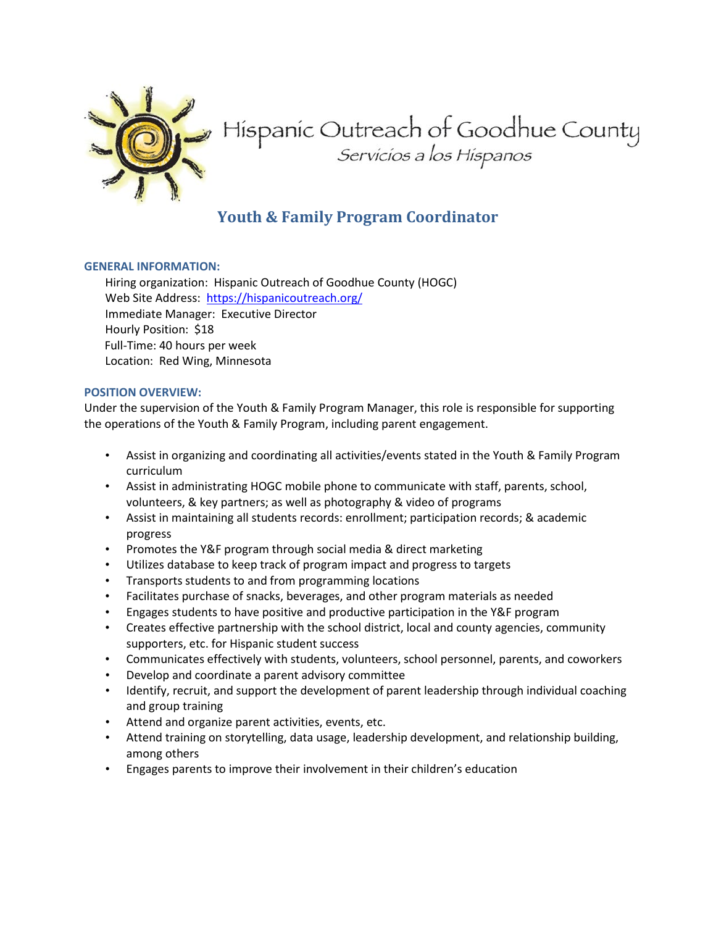

# Hispanic Outreach of Goodhue County<br>Servicios a los Hispanos

# **Youth & Family Program Coordinator**

## **GENERAL INFORMATION:**

Hiring organization: Hispanic Outreach of Goodhue County (HOGC) Web Site Address:<https://hispanicoutreach.org/> Immediate Manager: Executive Director Hourly Position: \$18 Full-Time: 40 hours per week Location: Red Wing, Minnesota

## **POSITION OVERVIEW:**

Under the supervision of the Youth & Family Program Manager, this role is responsible for supporting the operations of the Youth & Family Program, including parent engagement.

- Assist in organizing and coordinating all activities/events stated in the Youth & Family Program curriculum
- Assist in administrating HOGC mobile phone to communicate with staff, parents, school, volunteers, & key partners; as well as photography & video of programs
- Assist in maintaining all students records: enrollment; participation records; & academic progress
- Promotes the Y&F program through social media & direct marketing
- Utilizes database to keep track of program impact and progress to targets
- Transports students to and from programming locations
- Facilitates purchase of snacks, beverages, and other program materials as needed
- Engages students to have positive and productive participation in the Y&F program
- Creates effective partnership with the school district, local and county agencies, community supporters, etc. for Hispanic student success
- Communicates effectively with students, volunteers, school personnel, parents, and coworkers
- Develop and coordinate a parent advisory committee
- Identify, recruit, and support the development of parent leadership through individual coaching and group training
- Attend and organize parent activities, events, etc.
- Attend training on storytelling, data usage, leadership development, and relationship building, among others
- Engages parents to improve their involvement in their children's education